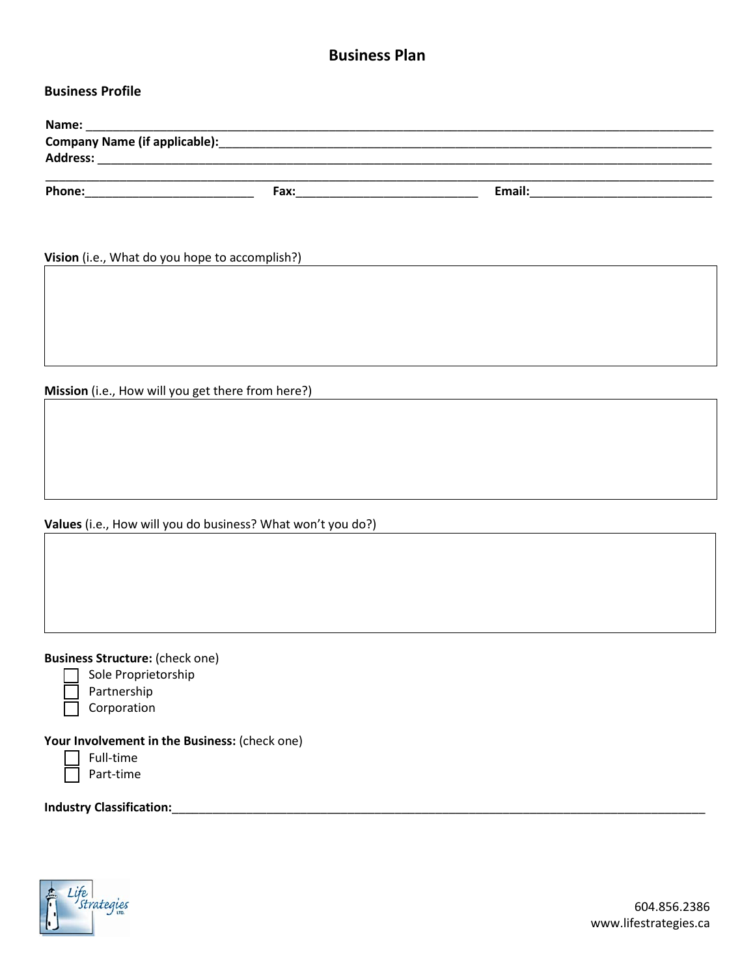## **Business Plan**

#### **Business Profile**

| Name:                                |      |        |  |  |
|--------------------------------------|------|--------|--|--|
| <b>Company Name (if applicable):</b> |      |        |  |  |
| <b>Address:</b>                      |      |        |  |  |
|                                      |      |        |  |  |
| Phone:                               | Fax: | Email: |  |  |

**Vision** (i.e., What do you hope to accomplish?)

**Mission** (i.e., How will you get there from here?)

**Values** (i.e., How will you do business? What won't you do?)

# **Business Structure:** (check one) Sole Proprietorship Partnership **Corporation Your Involvement in the Business:** (check one) Full-time Part-time **Industry Classification:**\_\_\_\_\_\_\_\_\_\_\_\_\_\_\_\_\_\_\_\_\_\_\_\_\_\_\_\_\_\_\_\_\_\_\_\_\_\_\_\_\_\_\_\_\_\_\_\_\_\_\_\_\_\_\_\_\_\_\_\_\_\_\_\_\_\_\_\_\_\_\_\_\_\_\_\_\_\_\_

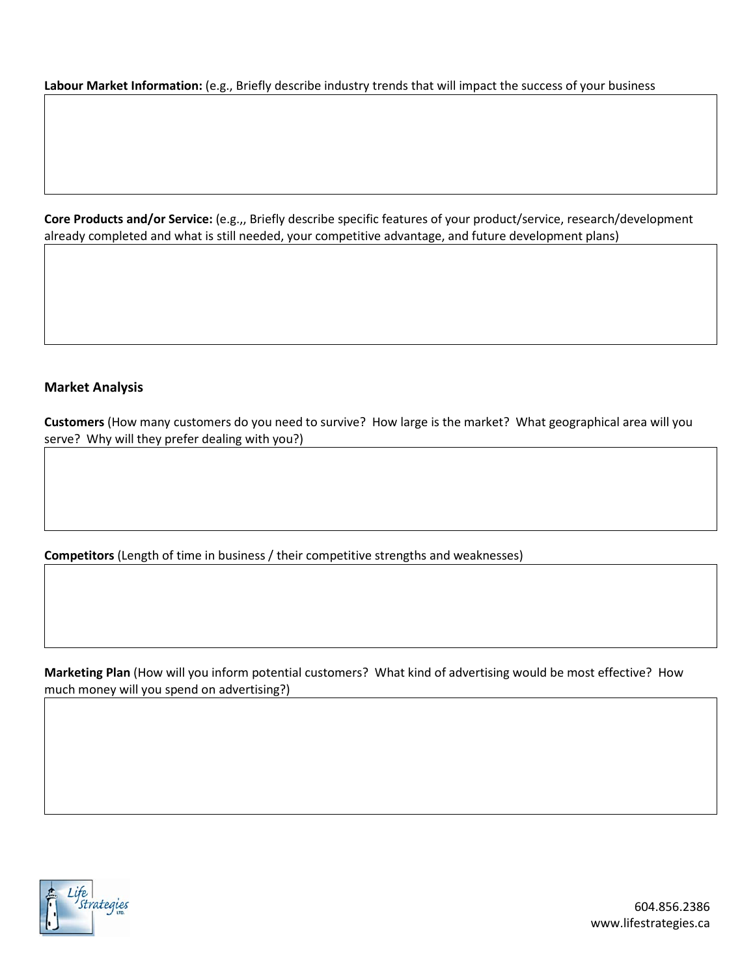**Labour Market Information:** (e.g., Briefly describe industry trends that will impact the success of your business

**Core Products and/or Service:** (e.g.,, Briefly describe specific features of your product/service, research/development already completed and what is still needed, your competitive advantage, and future development plans)

## **Market Analysis**

**Customers** (How many customers do you need to survive? How large is the market? What geographical area will you serve? Why will they prefer dealing with you?)

**Competitors** (Length of time in business / their competitive strengths and weaknesses)

**Marketing Plan** (How will you inform potential customers? What kind of advertising would be most effective? How much money will you spend on advertising?)



604.856.2386 www.lifestrategies.ca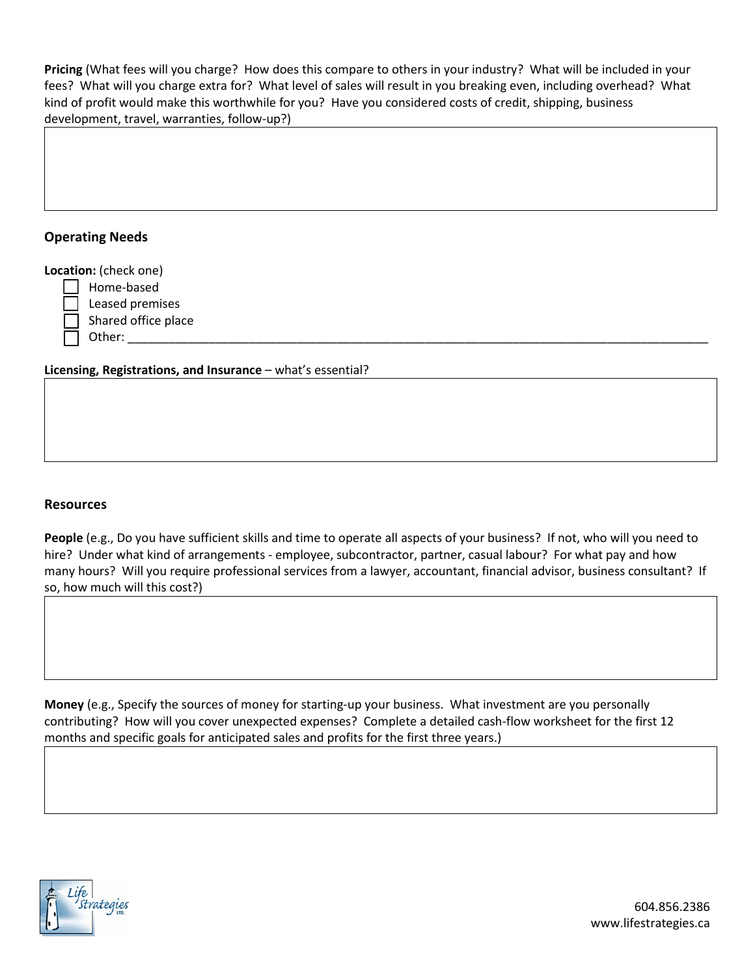**Pricing** (What fees will you charge? How does this compare to others in your industry? What will be included in your fees? What will you charge extra for? What level of sales will result in you breaking even, including overhead? What kind of profit would make this worthwhile for you? Have you considered costs of credit, shipping, business development, travel, warranties, follow-up?)

## **Operating Needs**

| Location: (check one) |
|-----------------------|
| Home-based            |
| Leased premises       |
| Shared office place   |
| Other:                |

**Licensing, Registrations, and Insurance** – what's essential?

#### **Resources**

**People** (e.g., Do you have sufficient skills and time to operate all aspects of your business? If not, who will you need to hire? Under what kind of arrangements - employee, subcontractor, partner, casual labour? For what pay and how many hours? Will you require professional services from a lawyer, accountant, financial advisor, business consultant? If so, how much will this cost?)

**Money** (e.g., Specify the sources of money for starting-up your business. What investment are you personally contributing? How will you cover unexpected expenses? Complete a detailed cash-flow worksheet for the first 12 months and specific goals for anticipated sales and profits for the first three years.)



604.856.2386 www.lifestrategies.ca